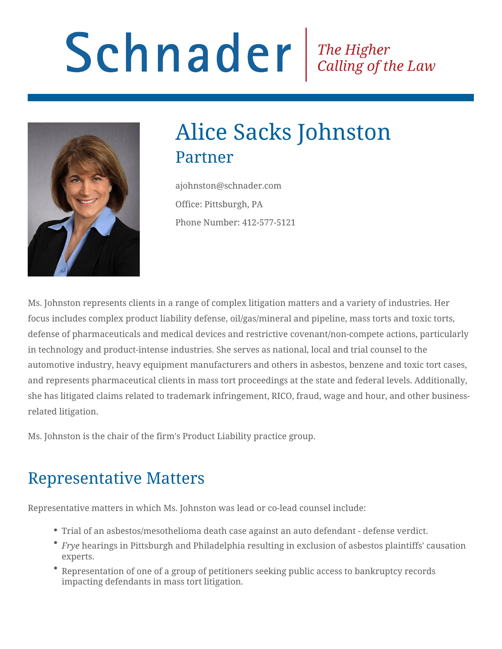# Schnader Fine Higher Calling of the Law



## Alice Sacks Johnston Partner

ajohnston@schnader.com Office: Pittsburgh, PA Phone Number: 412-577-5121

Ms. Johnston represents clients in a range of complex litigation matters and a variety of industries. Her focus includes complex product liability defense, oil/gas/mineral and pipeline, mass torts and toxic torts, defense of pharmaceuticals and medical devices and restrictive covenant/non-compete actions, particularly in technology and product-intense industries. She serves as national, local and trial counsel to the automotive industry, heavy equipment manufacturers and others in asbestos, benzene and toxic tort cases, and represents pharmaceutical clients in mass tort proceedings at the state and federal levels. Additionally, she has litigated claims related to trademark infringement, RICO, fraud, wage and hour, and other businessrelated litigation.

Ms. Johnston is the chair of the firm's Product Liability practice group.

## Representative Matters

Representative matters in which Ms. Johnston was lead or co-lead counsel include:

- Trial of an asbestos/mesothelioma death case against an auto defendant defense verdict.
- *Frye* hearings in Pittsburgh and Philadelphia resulting in exclusion of asbestos plaintiffs' causation experts.
- Representation of one of a group of petitioners seeking public access to bankruptcy records impacting defendants in mass tort litigation.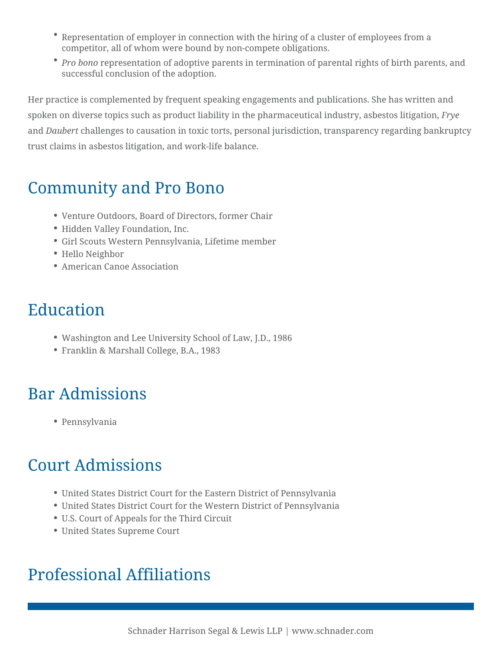- Representation of employer in connection with the hiring of a cluster of employees from a competitor, all of whom were bound by non-compete obligations.
- *Pro bono* representation of adoptive parents in termination of parental rights of birth parents, and successful conclusion of the adoption.

Her practice is complemented by frequent speaking engagements and publications. She has written and spoken on diverse topics such as product liability in the pharmaceutical industry, asbestos litigation, *Frye* and *Daubert* challenges to causation in toxic torts, personal jurisdiction, transparency regarding bankruptcy trust claims in asbestos litigation, and work-life balance.

#### Community and Pro Bono

- Venture Outdoors, Board of Directors, former Chair
- Hidden Valley Foundation, Inc.
- Girl Scouts Western Pennsylvania, Lifetime member
- Hello Neighbor
- American Canoe Association

## Education

- Washington and Lee University School of Law, J.D., 1986
- Franklin & Marshall College, B.A., 1983

## Bar Admissions

Pennsylvania

## Court Admissions

- United States District Court for the Eastern District of Pennsylvania
- United States District Court for the Western District of Pennsylvania
- U.S. Court of Appeals for the Third Circuit
- United States Supreme Court

## Professional Affiliations